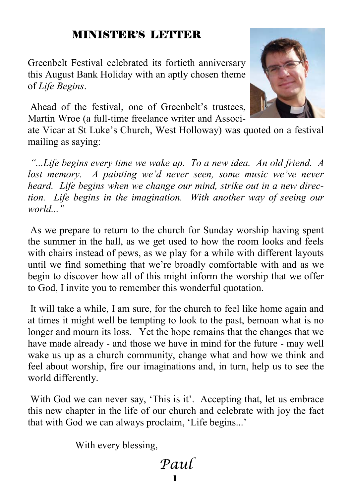# MINISTER'S LETTER

Greenbelt Festival celebrated its fortieth anniversary this August Bank Holiday with an aptly chosen theme of *Life Begins*.

 Ahead of the festival, one of Greenbelt's trustees, Martin Wroe (a full-time freelance writer and Associ-



ate Vicar at St Luke's Church, West Holloway) was quoted on a festival mailing as saying:

*"...Life begins every time we wake up. To a new idea. An old friend. A lost memory. A painting we'd never seen, some music we've never heard. Life begins when we change our mind, strike out in a new direction. Life begins in the imagination. With another way of seeing our world..."* 

 As we prepare to return to the church for Sunday worship having spent the summer in the hall, as we get used to how the room looks and feels with chairs instead of pews, as we play for a while with different layouts until we find something that we're broadly comfortable with and as we begin to discover how all of this might inform the worship that we offer to God, I invite you to remember this wonderful quotation.

 It will take a while, I am sure, for the church to feel like home again and at times it might well be tempting to look to the past, bemoan what is no longer and mourn its loss. Yet the hope remains that the changes that we have made already - and those we have in mind for the future - may well wake us up as a church community, change what and how we think and feel about worship, fire our imaginations and, in turn, help us to see the world differently.

With God we can never say, 'This is it'. Accepting that, let us embrace this new chapter in the life of our church and celebrate with joy the fact that with God we can always proclaim, 'Life begins...'

With every blessing,

1 *Paul*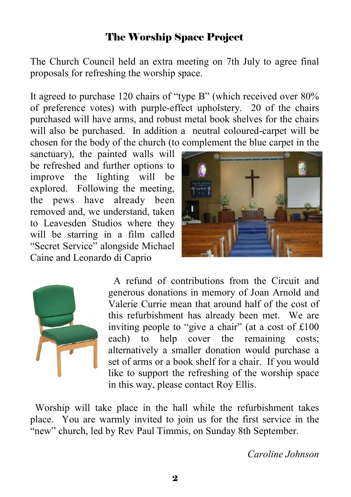## The Worship Space Project

The Church Council held an extra meeting on 7th July to agree final proposals for refreshing the worship space.

It agreed to purchase 120 chairs of "type B" (which received over 80% of preference votes) with purple-effect upholstery. 20 of the chairs purchased will have arms, and robust metal book shelves for the chairs will also be purchased. In addition a neutral coloured-carpet will be chosen for the body of the church (to complement the blue carpet in the

sanctuary), the painted walls will be refreshed and further options to improve the lighting will be explored. Following the meeting, the pews have already been removed and, we understand, taken to Leavesden Studios where they will be starring in a film called "Secret Service" alongside Michael Caine and Leonardo di Caprio





 A refund of contributions from the Circuit and generous donations in memory of Joan Arnold and Valerie Currie mean that around half of the cost of this refurbishment has already been met. We are inviting people to "give a chair" (at a cost of £100 each) to help cover the remaining costs; alternatively a smaller donation would purchase a set of arms or a book shelf for a chair. If you would like to support the refreshing of the worship space in this way, please contact Roy Ellis.

 Worship will take place in the hall while the refurbishment takes place. You are warmly invited to join us for the first service in the "new" church, led by Rev Paul Timmis, on Sunday 8th September.

*Caroline Johnson*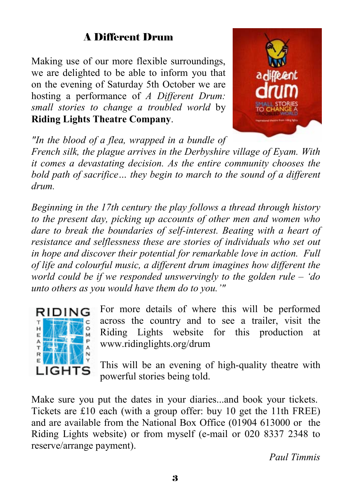# A Different Drum

Making use of our more flexible surroundings, we are delighted to be able to inform you that on the evening of Saturday 5th October we are hosting a performance of *A Different Drum: small stories to change a troubled world* by **Riding Lights Theatre Company**.



*"In the blood of a flea, wrapped in a bundle of* 

*French silk, the plague arrives in the Derbyshire village of Eyam. With it comes a devastating decision. As the entire community chooses the bold path of sacrifice… they begin to march to the sound of a different drum.* 

*Beginning in the 17th century the play follows a thread through history to the present day, picking up accounts of other men and women who dare to break the boundaries of self-interest. Beating with a heart of resistance and selflessness these are stories of individuals who set out in hope and discover their potential for remarkable love in action. Full of life and colourful music, a different drum imagines how different the world could be if we responded unswervingly to the golden rule – 'do unto others as you would have them do to you.'"* 



For more details of where this will be performed across the country and to see a trailer, visit the Riding Lights website for this production at www.ridinglights.org/drum

This will be an evening of high-quality theatre with powerful stories being told.

Make sure you put the dates in your diaries...and book your tickets. Tickets are £10 each (with a group offer: buy 10 get the 11th FREE) and are available from the National Box Office (01904 613000 or the Riding Lights website) or from myself (e-mail or 020 8337 2348 to reserve/arrange payment).

*Paul Timmis*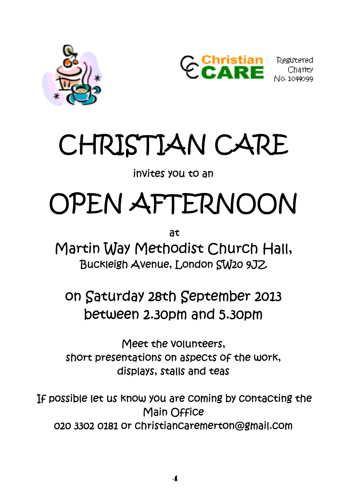



Registered Charity No. 1044099

# CHRISTIAN CARE

# invites you to an

# OPEN AFTERNOON

at

Martin Way Methodist Church Hall, Buckleigh Avenue, London SW20 9JZ

on Saturday 28th September 2013 between 2.30pm and 5.30pm

Meet the volunteers, short presentations on aspects of the work, displays, stalls and teas

If possible let us know you are coming by contacting the Main Office 020 3302 0181 or christiancaremerton@gmail.com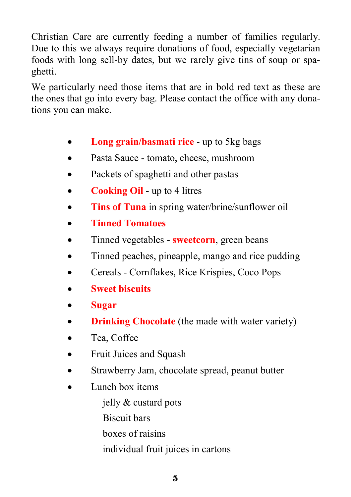Christian Care are currently feeding a number of families regularly. Due to this we always require donations of food, especially vegetarian foods with long sell-by dates, but we rarely give tins of soup or spaghetti.

We particularly need those items that are in bold red text as these are the ones that go into every bag. Please contact the office with any donations you can make.

- **Long grain/basmati rice** up to 5kg bags
- Pasta Sauce tomato, cheese, mushroom
- Packets of spaghetti and other pastas
- **Cooking Oil** up to 4 litres
- **Tins of Tuna** in spring water/brine/sunflower oil
- **Tinned Tomatoes**
- Tinned vegetables **sweetcorn**, green beans
- Tinned peaches, pineapple, mango and rice pudding
- Cereals Cornflakes, Rice Krispies, Coco Pops
- **Sweet biscuits**
- **Sugar**
- **Drinking Chocolate** (the made with water variety)
- Tea, Coffee
- Fruit Juices and Squash
- Strawberry Jam, chocolate spread, peanut butter
- Lunch box items

jelly & custard pots Biscuit bars boxes of raisins individual fruit juices in cartons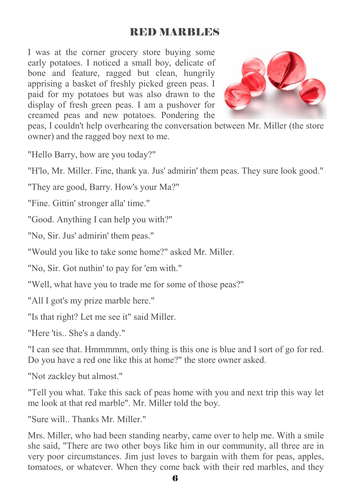## RED MARBLES

I was at the corner grocery store buying some early potatoes. I noticed a small boy, delicate of bone and feature, ragged but clean, hungrily apprising a basket of freshly picked green peas. I paid for my potatoes but was also drawn to the display of fresh green peas. I am a pushover for creamed peas and new potatoes. Pondering the



peas, I couldn't help overhearing the conversation between Mr. Miller (the store owner) and the ragged boy next to me.

"Hello Barry, how are you today?"

"H'lo, Mr. Miller. Fine, thank ya. Jus' admirin' them peas. They sure look good."

"They are good, Barry. How's your Ma?"

"Fine. Gittin' stronger alla' time."

"Good. Anything I can help you with?"

"No, Sir. Jus' admirin' them peas."

"Would you like to take some home?" asked Mr. Miller.

"No, Sir. Got nuthin' to pay for 'em with."

"Well, what have you to trade me for some of those peas?"

"All I got's my prize marble here."

"Is that right? Let me see it" said Miller.

"Here 'tis.. She's a dandy."

"I can see that. Hmmmmm, only thing is this one is blue and I sort of go for red. Do you have a red one like this at home?" the store owner asked.

"Not zackley but almost."

"Tell you what. Take this sack of peas home with you and next trip this way let me look at that red marble". Mr. Miller told the boy.

"Sure will.. Thanks Mr. Miller."

Mrs. Miller, who had been standing nearby, came over to help me. With a smile she said, "There are two other boys like him in our community, all three are in very poor circumstances. Jim just loves to bargain with them for peas, apples, tomatoes, or whatever. When they come back with their red marbles, and they

6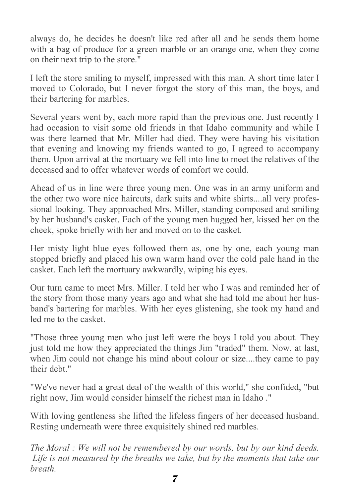always do, he decides he doesn't like red after all and he sends them home with a bag of produce for a green marble or an orange one, when they come on their next trip to the store."

I left the store smiling to myself, impressed with this man. A short time later I moved to Colorado, but I never forgot the story of this man, the boys, and their bartering for marbles.

Several years went by, each more rapid than the previous one. Just recently I had occasion to visit some old friends in that Idaho community and while I was there learned that Mr. Miller had died. They were having his visitation that evening and knowing my friends wanted to go, I agreed to accompany them. Upon arrival at the mortuary we fell into line to meet the relatives of the deceased and to offer whatever words of comfort we could.

Ahead of us in line were three young men. One was in an army uniform and the other two wore nice haircuts, dark suits and white shirts....all very professional looking. They approached Mrs. Miller, standing composed and smiling by her husband's casket. Each of the young men hugged her, kissed her on the cheek, spoke briefly with her and moved on to the casket.

Her misty light blue eyes followed them as, one by one, each young man stopped briefly and placed his own warm hand over the cold pale hand in the casket. Each left the mortuary awkwardly, wiping his eyes.

Our turn came to meet Mrs. Miller. I told her who I was and reminded her of the story from those many years ago and what she had told me about her husband's bartering for marbles. With her eyes glistening, she took my hand and led me to the casket.

"Those three young men who just left were the boys I told you about. They just told me how they appreciated the things Jim "traded" them. Now, at last, when Jim could not change his mind about colour or size....they came to pay their debt."

"We've never had a great deal of the wealth of this world," she confided, "but right now, Jim would consider himself the richest man in Idaho ."

With loving gentleness she lifted the lifeless fingers of her deceased husband. Resting underneath were three exquisitely shined red marbles.

*The Moral : We will not be remembered by our words, but by our kind deeds. Life is not measured by the breaths we take, but by the moments that take our breath.* 

7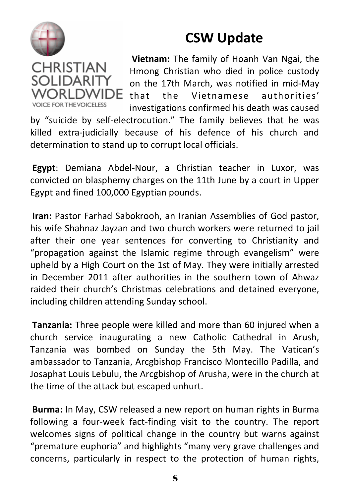

# **CSW Update**

**CHRISTIAN** SOI IDARITY **VOICE FOR THE VOICELESS** 

**Vietnam:** The family of Hoanh Van Ngai, the Hmong Christian who died in police custody on the 17th March, was notified in mid‐May that the Vietnamese authorities' investigations confirmed his death was caused

by "suicide by self‐electrocution." The family believes that he was killed extra‐judicially because of his defence of his church and determination to stand up to corrupt local officials.

**Egypt**: Demiana Abdel‐Nour, a Christian teacher in Luxor, was convicted on blasphemy charges on the 11th June by a court in Upper Egypt and fined 100,000 Egyptian pounds.

**Iran:** Pastor Farhad Sabokrooh, an Iranian Assemblies of God pastor, his wife Shahnaz Jayzan and two church workers were returned to jail after their one year sentences for converting to Christianity and "propagation against the Islamic regime through evangelism" were upheld by a High Court on the 1st of May. They were initially arrested in December 2011 after authorities in the southern town of Ahwaz raided their church's Christmas celebrations and detained everyone, including children attending Sunday school.

**Tanzania:** Three people were killed and more than 60 injured when a church service inaugurating a new Catholic Cathedral in Arush, Tanzania was bombed on Sunday the 5th May. The Vatican's ambassador to Tanzania, Arcgbishop Francisco Montecillo Padilla, and Josaphat Louis Lebulu, the Arcgbishop of Arusha, were in the church at the time of the attack but escaped unhurt.

**Burma:** In May, CSW released a new report on human rights in Burma following a four‐week fact‐finding visit to the country. The report welcomes signs of political change in the country but warns against "premature euphoria" and highlights "many very grave challenges and concerns, particularly in respect to the protection of human rights,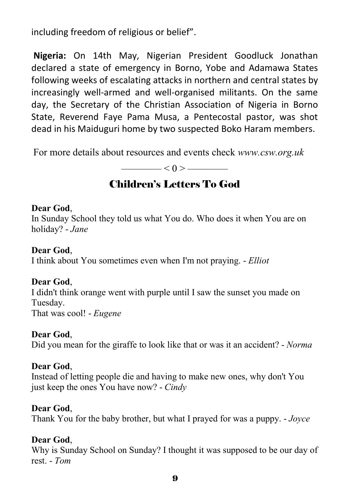including freedom of religious or belief".

**Nigeria:** On 14th May, Nigerian President Goodluck Jonathan declared a state of emergency in Borno, Yobe and Adamawa States following weeks of escalating attacks in northern and central states by increasingly well‐armed and well‐organised militants. On the same day, the Secretary of the Christian Association of Nigeria in Borno State, Reverend Faye Pama Musa, a Pentecostal pastor, was shot dead in his Maiduguri home by two suspected Boko Haram members.

For more details about resources and events check *www.csw.org.uk* 

———— < 0 > ————

# Children's Letters To God

#### **Dear God**,

In Sunday School they told us what You do. Who does it when You are on holiday? - *Jane* 

#### **Dear God**,

I think about You sometimes even when I'm not praying. - *Elliot* 

#### **Dear God**,

I didn't think orange went with purple until I saw the sunset you made on Tuesday. That was cool! - *Eugene* 

#### **Dear God**,

Did you mean for the giraffe to look like that or was it an accident? - *Norma* 

#### **Dear God**,

Instead of letting people die and having to make new ones, why don't You just keep the ones You have now? - *Cindy* 

#### **Dear God**,

Thank You for the baby brother, but what I prayed for was a puppy. - *Joyce* 

#### **Dear God**,

Why is Sunday School on Sunday? I thought it was supposed to be our day of rest. - *Tom*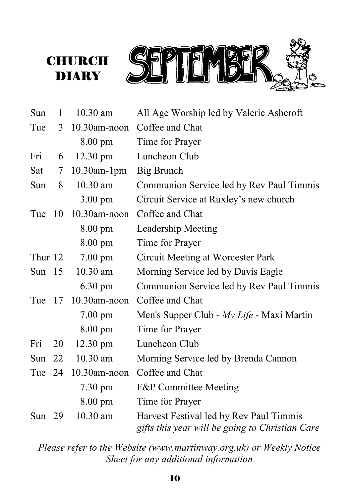



| Sun      | 1  | $10.30$ am         | All Age Worship led by Valerie Ashcroft                                                    |
|----------|----|--------------------|--------------------------------------------------------------------------------------------|
| Tue      | 3  | 10.30am-noon       | Coffee and Chat                                                                            |
|          |    | 8.00 pm            | Time for Prayer                                                                            |
| Fri      | 6  | $12.30 \text{ pm}$ | Luncheon Club                                                                              |
| Sat      | 7  | $10.30$ am-1pm     | <b>Big Brunch</b>                                                                          |
| Sun      | 8  | 10.30 am           | Communion Service led by Rev Paul Timmis                                                   |
|          |    | $3.00 \text{ pm}$  | Circuit Service at Ruxley's new church                                                     |
| Tue 10   |    | $10.30$ am-noon    | Coffee and Chat                                                                            |
|          |    | 8.00 pm            | Leadership Meeting                                                                         |
|          |    | $8.00 \text{ pm}$  | Time for Prayer                                                                            |
| Thur 12  |    | $7.00 \text{ pm}$  | Circuit Meeting at Worcester Park                                                          |
| Sun $15$ |    | $10.30$ am         | Morning Service led by Davis Eagle                                                         |
|          |    | $6.30 \text{ pm}$  | Communion Service led by Rev Paul Timmis                                                   |
| Tue 17   |    | 10.30am-noon       | Coffee and Chat                                                                            |
|          |    | $7.00 \text{ pm}$  | Men's Supper Club - My Life - Maxi Martin                                                  |
|          |    | $8.00 \text{ pm}$  | Time for Prayer                                                                            |
| Fri      | 20 | $12.30 \text{ pm}$ | Luncheon Club                                                                              |
| Sun      | 22 | 10.30 am           | Morning Service led by Brenda Cannon                                                       |
| Tue 24   |    | $10.30$ am-noon    | Coffee and Chat                                                                            |
|          |    | 7.30 pm            | <b>F&amp;P</b> Committee Meeting                                                           |
|          |    | $8.00 \text{ pm}$  | Time for Prayer                                                                            |
| Sun $29$ |    | $10.30$ am         | Harvest Festival led by Rev Paul Timmis<br>gifts this year will be going to Christian Care |

*Please refer to the Website (www.martinway.org.uk) or Weekly Notice Sheet for any additional information*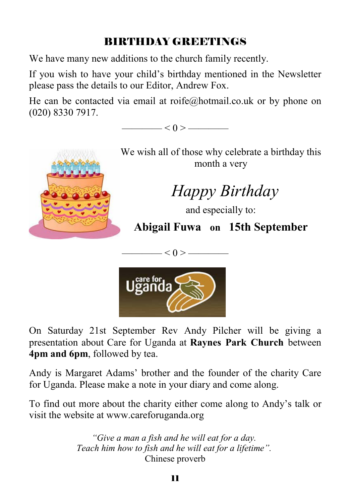# BIRTHDAY GREETINGS

We have many new additions to the church family recently.

If you wish to have your child's birthday mentioned in the Newsletter please pass the details to our Editor, Andrew Fox.

He can be contacted via email at roife@hotmail.co.uk or by phone on (020) 8330 7917.





We wish all of those why celebrate a birthday this month a very

 *Happy Birthday* 

and especially to:

**Abigail Fuwa on 15th September** 



 $-$  < 0 >  $-$ 

On Saturday 21st September Rev Andy Pilcher will be giving a presentation about Care for Uganda at **Raynes Park Church** between **4pm and 6pm**, followed by tea.

Andy is Margaret Adams' brother and the founder of the charity Care for Uganda. Please make a note in your diary and come along.

To find out more about the charity either come along to Andy's talk or visit the website at www.careforuganda.org

> *"Give a man a fish and he will eat for a day. Teach him how to fish and he will eat for a lifetime".*  Chinese proverb